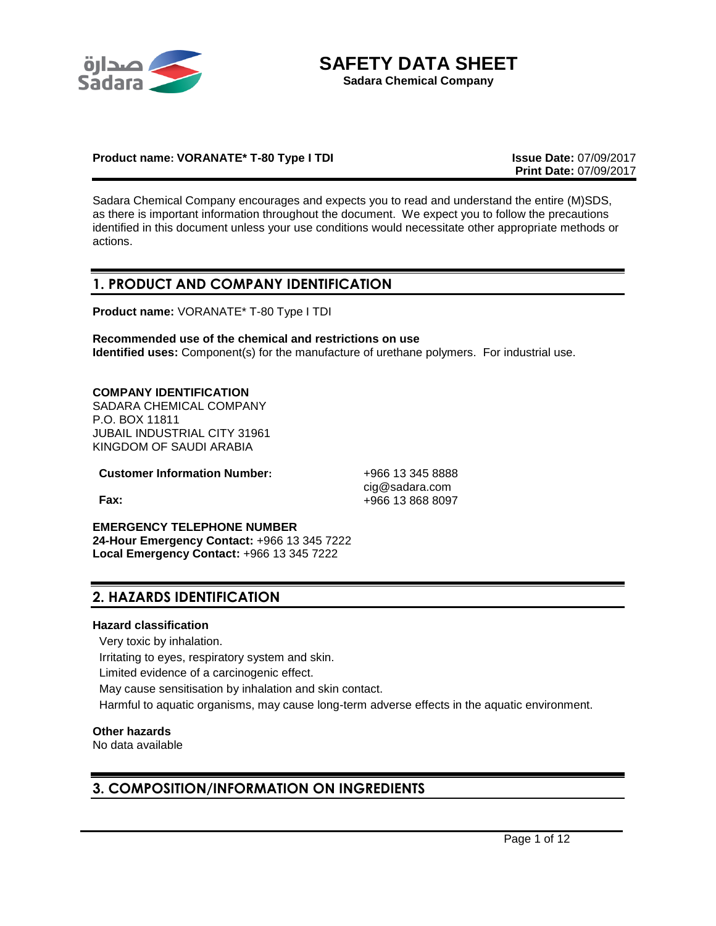



## **Product name: VORANATE\* T-80 Type I TDI Issue Date:** 07/09/2017

**Print Date:** 07/09/2017

Sadara Chemical Company encourages and expects you to read and understand the entire (M)SDS, as there is important information throughout the document. We expect you to follow the precautions identified in this document unless your use conditions would necessitate other appropriate methods or actions.

## **1. PRODUCT AND COMPANY IDENTIFICATION**

**Product name:** VORANATE\* T-80 Type I TDI

**Recommended use of the chemical and restrictions on use Identified uses:** Component(s) for the manufacture of urethane polymers. For industrial use.

## **COMPANY IDENTIFICATION**

SADARA CHEMICAL COMPANY P.O. BOX 11811 JUBAIL INDUSTRIAL CITY 31961 KINGDOM OF SAUDI ARABIA

**Customer Information Number:** +966 13 345 8888

cig@sadara.com **Fax:** +966 13 868 8097

**EMERGENCY TELEPHONE NUMBER 24-Hour Emergency Contact:** +966 13 345 7222 **Local Emergency Contact:** +966 13 345 7222

## **2. HAZARDS IDENTIFICATION**

## **Hazard classification**

Very toxic by inhalation.

Irritating to eyes, respiratory system and skin.

Limited evidence of a carcinogenic effect.

May cause sensitisation by inhalation and skin contact.

Harmful to aquatic organisms, may cause long-term adverse effects in the aquatic environment.

#### **Other hazards**

No data available

## **3. COMPOSITION/INFORMATION ON INGREDIENTS**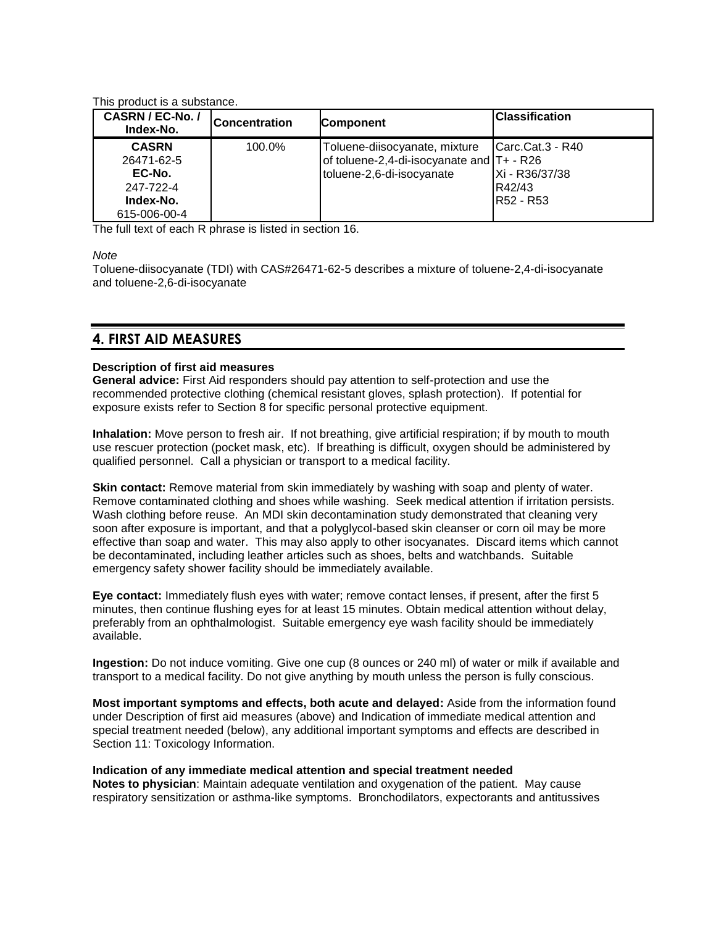This product is a substance.

| CASRN / EC-No. /<br>Index-No.                                                  | <b>Concentration</b> | <b>Component</b>                                                                                        | <b>Classification</b>                                     |
|--------------------------------------------------------------------------------|----------------------|---------------------------------------------------------------------------------------------------------|-----------------------------------------------------------|
| <b>CASRN</b><br>26471-62-5<br>EC-No.<br>247-722-4<br>Index-No.<br>615-006-00-4 | 100.0%               | Toluene-diisocyanate, mixture<br>of toluene-2,4-di-isocyanate and T+ - R26<br>toluene-2,6-di-isocyanate | Carc Cat.3 - R40<br>Xi - R36/37/38<br>R42/43<br>R52 - R53 |

The full text of each R phrase is listed in section 16.

*Note*

Toluene-diisocyanate (TDI) with CAS#26471-62-5 describes a mixture of toluene-2,4-di-isocyanate and toluene-2,6-di-isocyanate

## **4. FIRST AID MEASURES**

## **Description of first aid measures**

**General advice:** First Aid responders should pay attention to self-protection and use the recommended protective clothing (chemical resistant gloves, splash protection). If potential for exposure exists refer to Section 8 for specific personal protective equipment.

**Inhalation:** Move person to fresh air. If not breathing, give artificial respiration; if by mouth to mouth use rescuer protection (pocket mask, etc). If breathing is difficult, oxygen should be administered by qualified personnel. Call a physician or transport to a medical facility.

**Skin contact:** Remove material from skin immediately by washing with soap and plenty of water. Remove contaminated clothing and shoes while washing. Seek medical attention if irritation persists. Wash clothing before reuse. An MDI skin decontamination study demonstrated that cleaning very soon after exposure is important, and that a polyglycol-based skin cleanser or corn oil may be more effective than soap and water. This may also apply to other isocyanates. Discard items which cannot be decontaminated, including leather articles such as shoes, belts and watchbands. Suitable emergency safety shower facility should be immediately available.

**Eye contact:** Immediately flush eyes with water; remove contact lenses, if present, after the first 5 minutes, then continue flushing eyes for at least 15 minutes. Obtain medical attention without delay, preferably from an ophthalmologist. Suitable emergency eye wash facility should be immediately available.

**Ingestion:** Do not induce vomiting. Give one cup (8 ounces or 240 ml) of water or milk if available and transport to a medical facility. Do not give anything by mouth unless the person is fully conscious.

**Most important symptoms and effects, both acute and delayed:** Aside from the information found under Description of first aid measures (above) and Indication of immediate medical attention and special treatment needed (below), any additional important symptoms and effects are described in Section 11: Toxicology Information.

## **Indication of any immediate medical attention and special treatment needed**

**Notes to physician**: Maintain adequate ventilation and oxygenation of the patient. May cause respiratory sensitization or asthma-like symptoms. Bronchodilators, expectorants and antitussives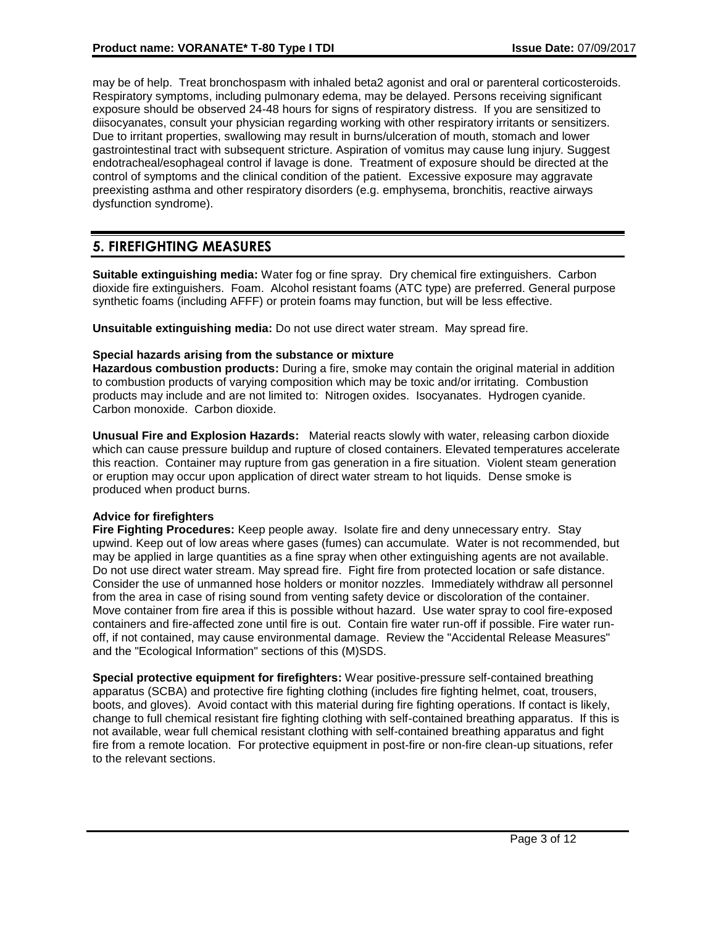may be of help. Treat bronchospasm with inhaled beta2 agonist and oral or parenteral corticosteroids. Respiratory symptoms, including pulmonary edema, may be delayed. Persons receiving significant exposure should be observed 24-48 hours for signs of respiratory distress. If you are sensitized to diisocyanates, consult your physician regarding working with other respiratory irritants or sensitizers. Due to irritant properties, swallowing may result in burns/ulceration of mouth, stomach and lower gastrointestinal tract with subsequent stricture. Aspiration of vomitus may cause lung injury. Suggest endotracheal/esophageal control if lavage is done. Treatment of exposure should be directed at the control of symptoms and the clinical condition of the patient. Excessive exposure may aggravate preexisting asthma and other respiratory disorders (e.g. emphysema, bronchitis, reactive airways dysfunction syndrome).

# **5. FIREFIGHTING MEASURES**

**Suitable extinguishing media:** Water fog or fine spray. Dry chemical fire extinguishers. Carbon dioxide fire extinguishers. Foam. Alcohol resistant foams (ATC type) are preferred. General purpose synthetic foams (including AFFF) or protein foams may function, but will be less effective.

**Unsuitable extinguishing media:** Do not use direct water stream. May spread fire.

## **Special hazards arising from the substance or mixture**

**Hazardous combustion products:** During a fire, smoke may contain the original material in addition to combustion products of varying composition which may be toxic and/or irritating. Combustion products may include and are not limited to: Nitrogen oxides. Isocyanates. Hydrogen cyanide. Carbon monoxide. Carbon dioxide.

**Unusual Fire and Explosion Hazards:** Material reacts slowly with water, releasing carbon dioxide which can cause pressure buildup and rupture of closed containers. Elevated temperatures accelerate this reaction. Container may rupture from gas generation in a fire situation. Violent steam generation or eruption may occur upon application of direct water stream to hot liquids. Dense smoke is produced when product burns.

## **Advice for firefighters**

**Fire Fighting Procedures:** Keep people away. Isolate fire and deny unnecessary entry. Stay upwind. Keep out of low areas where gases (fumes) can accumulate. Water is not recommended, but may be applied in large quantities as a fine spray when other extinguishing agents are not available. Do not use direct water stream. May spread fire. Fight fire from protected location or safe distance. Consider the use of unmanned hose holders or monitor nozzles. Immediately withdraw all personnel from the area in case of rising sound from venting safety device or discoloration of the container. Move container from fire area if this is possible without hazard. Use water spray to cool fire-exposed containers and fire-affected zone until fire is out. Contain fire water run-off if possible. Fire water runoff, if not contained, may cause environmental damage. Review the "Accidental Release Measures" and the "Ecological Information" sections of this (M)SDS.

**Special protective equipment for firefighters:** Wear positive-pressure self-contained breathing apparatus (SCBA) and protective fire fighting clothing (includes fire fighting helmet, coat, trousers, boots, and gloves). Avoid contact with this material during fire fighting operations. If contact is likely, change to full chemical resistant fire fighting clothing with self-contained breathing apparatus. If this is not available, wear full chemical resistant clothing with self-contained breathing apparatus and fight fire from a remote location. For protective equipment in post-fire or non-fire clean-up situations, refer to the relevant sections.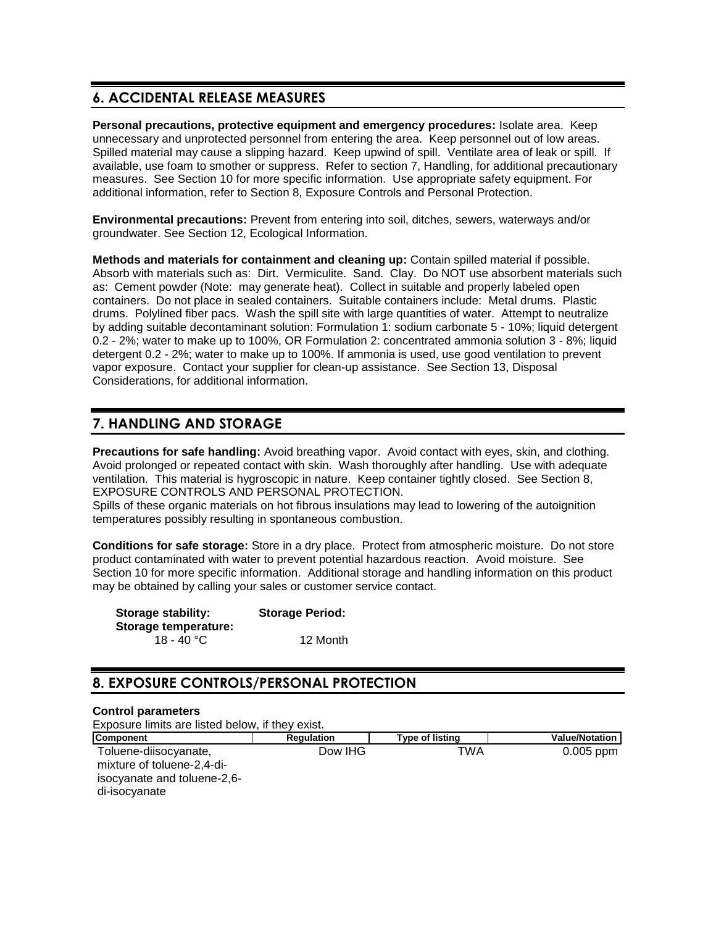# **6. ACCIDENTAL RELEASE MEASURES**

**Personal precautions, protective equipment and emergency procedures:** Isolate area. Keep unnecessary and unprotected personnel from entering the area. Keep personnel out of low areas. Spilled material may cause a slipping hazard. Keep upwind of spill. Ventilate area of leak or spill. If available, use foam to smother or suppress. Refer to section 7, Handling, for additional precautionary measures. See Section 10 for more specific information. Use appropriate safety equipment. For additional information, refer to Section 8, Exposure Controls and Personal Protection.

**Environmental precautions:** Prevent from entering into soil, ditches, sewers, waterways and/or groundwater. See Section 12, Ecological Information.

**Methods and materials for containment and cleaning up:** Contain spilled material if possible. Absorb with materials such as: Dirt. Vermiculite. Sand. Clay. Do NOT use absorbent materials such as: Cement powder (Note: may generate heat). Collect in suitable and properly labeled open containers. Do not place in sealed containers. Suitable containers include: Metal drums. Plastic drums. Polylined fiber pacs. Wash the spill site with large quantities of water. Attempt to neutralize by adding suitable decontaminant solution: Formulation 1: sodium carbonate 5 - 10%; liquid detergent 0.2 - 2%; water to make up to 100%, OR Formulation 2: concentrated ammonia solution 3 - 8%; liquid detergent 0.2 - 2%; water to make up to 100%. If ammonia is used, use good ventilation to prevent vapor exposure. Contact your supplier for clean-up assistance. See Section 13, Disposal Considerations, for additional information.

# **7. HANDLING AND STORAGE**

**Precautions for safe handling:** Avoid breathing vapor. Avoid contact with eyes, skin, and clothing. Avoid prolonged or repeated contact with skin. Wash thoroughly after handling. Use with adequate ventilation. This material is hygroscopic in nature. Keep container tightly closed. See Section 8, EXPOSURE CONTROLS AND PERSONAL PROTECTION.

Spills of these organic materials on hot fibrous insulations may lead to lowering of the autoignition temperatures possibly resulting in spontaneous combustion.

**Conditions for safe storage:** Store in a dry place. Protect from atmospheric moisture. Do not store product contaminated with water to prevent potential hazardous reaction. Avoid moisture. See Section 10 for more specific information. Additional storage and handling information on this product may be obtained by calling your sales or customer service contact.

| <b>Storage stability:</b> | <b>Storage Period:</b> |  |
|---------------------------|------------------------|--|
| Storage temperature:      |                        |  |
| 18 - 40 °C                | 12 Month               |  |

# **8. EXPOSURE CONTROLS/PERSONAL PROTECTION**

## **Control parameters**

Exposure limits are listed below, if they exist.

| <b>Component</b>                                                                                    | <b>Regulation</b> | <b>Type of listing</b> | <b>Value/Notation</b> |
|-----------------------------------------------------------------------------------------------------|-------------------|------------------------|-----------------------|
| Toluene-diisocyanate,<br>mixture of toluene-2,4-di-<br>isocyanate and toluene-2,6-<br>di-isocyanate | Dow IHG           | TWA                    | $0.005$ ppm           |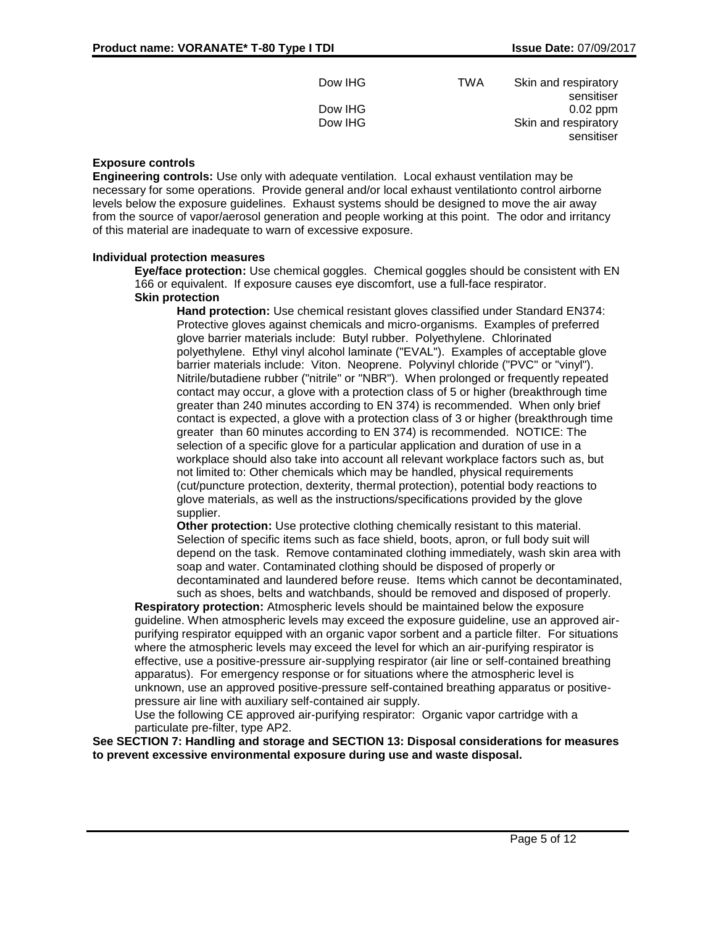| Dow IHG | <b>TWA</b> | Skin and respiratory |
|---------|------------|----------------------|
|         |            | sensitiser           |
| Dow IHG |            | $0.02$ ppm           |
| Dow IHG |            | Skin and respiratory |
|         |            | sensitiser           |

## **Exposure controls**

**Engineering controls:** Use only with adequate ventilation. Local exhaust ventilation may be necessary for some operations. Provide general and/or local exhaust ventilationto control airborne levels below the exposure guidelines. Exhaust systems should be designed to move the air away from the source of vapor/aerosol generation and people working at this point. The odor and irritancy of this material are inadequate to warn of excessive exposure.

## **Individual protection measures**

**Eye/face protection:** Use chemical goggles. Chemical goggles should be consistent with EN 166 or equivalent. If exposure causes eye discomfort, use a full-face respirator. **Skin protection**

**Hand protection:** Use chemical resistant gloves classified under Standard EN374: Protective gloves against chemicals and micro-organisms. Examples of preferred glove barrier materials include: Butyl rubber. Polyethylene. Chlorinated polyethylene. Ethyl vinyl alcohol laminate ("EVAL"). Examples of acceptable glove barrier materials include: Viton. Neoprene. Polyvinyl chloride ("PVC" or "vinyl"). Nitrile/butadiene rubber ("nitrile" or "NBR"). When prolonged or frequently repeated contact may occur, a glove with a protection class of 5 or higher (breakthrough time greater than 240 minutes according to EN 374) is recommended. When only brief contact is expected, a glove with a protection class of 3 or higher (breakthrough time greater than 60 minutes according to EN 374) is recommended. NOTICE: The selection of a specific glove for a particular application and duration of use in a workplace should also take into account all relevant workplace factors such as, but not limited to: Other chemicals which may be handled, physical requirements (cut/puncture protection, dexterity, thermal protection), potential body reactions to glove materials, as well as the instructions/specifications provided by the glove supplier.

**Other protection:** Use protective clothing chemically resistant to this material. Selection of specific items such as face shield, boots, apron, or full body suit will depend on the task. Remove contaminated clothing immediately, wash skin area with soap and water. Contaminated clothing should be disposed of properly or decontaminated and laundered before reuse. Items which cannot be decontaminated, such as shoes, belts and watchbands, should be removed and disposed of properly.

**Respiratory protection:** Atmospheric levels should be maintained below the exposure guideline. When atmospheric levels may exceed the exposure guideline, use an approved airpurifying respirator equipped with an organic vapor sorbent and a particle filter. For situations where the atmospheric levels may exceed the level for which an air-purifying respirator is effective, use a positive-pressure air-supplying respirator (air line or self-contained breathing apparatus). For emergency response or for situations where the atmospheric level is unknown, use an approved positive-pressure self-contained breathing apparatus or positivepressure air line with auxiliary self-contained air supply.

Use the following CE approved air-purifying respirator: Organic vapor cartridge with a particulate pre-filter, type AP2.

**See SECTION 7: Handling and storage and SECTION 13: Disposal considerations for measures to prevent excessive environmental exposure during use and waste disposal.**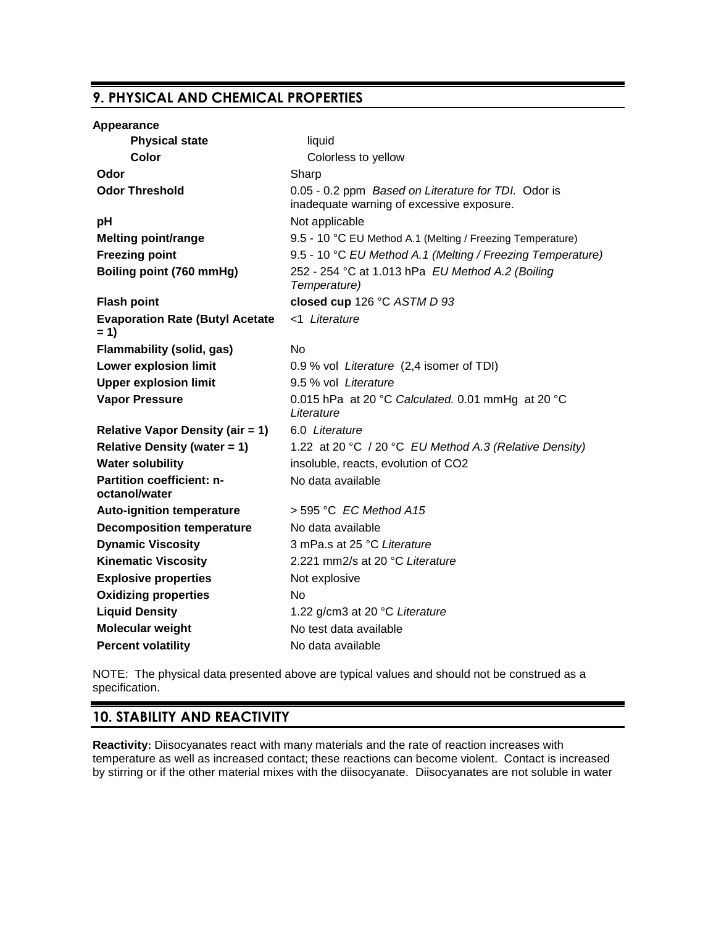# **9. PHYSICAL AND CHEMICAL PROPERTIES**

| <b>Appearance</b>                                 |                                                                                                  |
|---------------------------------------------------|--------------------------------------------------------------------------------------------------|
| <b>Physical state</b>                             | liquid                                                                                           |
| Color                                             | Colorless to yellow                                                                              |
| Odor                                              | Sharp                                                                                            |
| <b>Odor Threshold</b>                             | 0.05 - 0.2 ppm Based on Literature for TDI. Odor is<br>inadequate warning of excessive exposure. |
| рH                                                | Not applicable                                                                                   |
| <b>Melting point/range</b>                        | 9.5 - 10 °C EU Method A.1 (Melting / Freezing Temperature)                                       |
| <b>Freezing point</b>                             | 9.5 - 10 °C EU Method A.1 (Melting / Freezing Temperature)                                       |
| Boiling point (760 mmHg)                          | 252 - 254 °C at 1.013 hPa EU Method A.2 (Boiling<br>Temperature)                                 |
| <b>Flash point</b>                                | closed cup 126 °C ASTM D 93                                                                      |
| <b>Evaporation Rate (Butyl Acetate</b><br>$= 1$   | <1 Literature                                                                                    |
| <b>Flammability (solid, gas)</b>                  | No                                                                                               |
| Lower explosion limit                             | 0.9 % vol Literature (2,4 isomer of TDI)                                                         |
| <b>Upper explosion limit</b>                      | 9.5 % vol Literature                                                                             |
| <b>Vapor Pressure</b>                             | 0.015 hPa at 20 °C Calculated. 0.01 mmHg at 20 °C<br>Literature                                  |
| <b>Relative Vapor Density (air = 1)</b>           | 6.0 Literature                                                                                   |
| <b>Relative Density (water = 1)</b>               | 1.22 at 20 °C / 20 °C EU Method A.3 (Relative Density)                                           |
| <b>Water solubility</b>                           | insoluble, reacts, evolution of CO2                                                              |
| <b>Partition coefficient: n-</b><br>octanol/water | No data available                                                                                |
| <b>Auto-ignition temperature</b>                  | $>$ 595 °C EC Method A15                                                                         |
| <b>Decomposition temperature</b>                  | No data available                                                                                |
| <b>Dynamic Viscosity</b>                          | 3 mPa.s at 25 °C Literature                                                                      |
| <b>Kinematic Viscosity</b>                        | 2.221 mm2/s at 20 °C Literature                                                                  |
| <b>Explosive properties</b>                       | Not explosive                                                                                    |
| <b>Oxidizing properties</b>                       | No                                                                                               |
| <b>Liquid Density</b>                             | 1.22 g/cm3 at 20 °C Literature                                                                   |
| Molecular weight                                  | No test data available                                                                           |
| <b>Percent volatility</b>                         | No data available                                                                                |

NOTE: The physical data presented above are typical values and should not be construed as a specification.

## **10. STABILITY AND REACTIVITY**

**Reactivity:** Diisocyanates react with many materials and the rate of reaction increases with temperature as well as increased contact; these reactions can become violent. Contact is increased by stirring or if the other material mixes with the diisocyanate. Diisocyanates are not soluble in water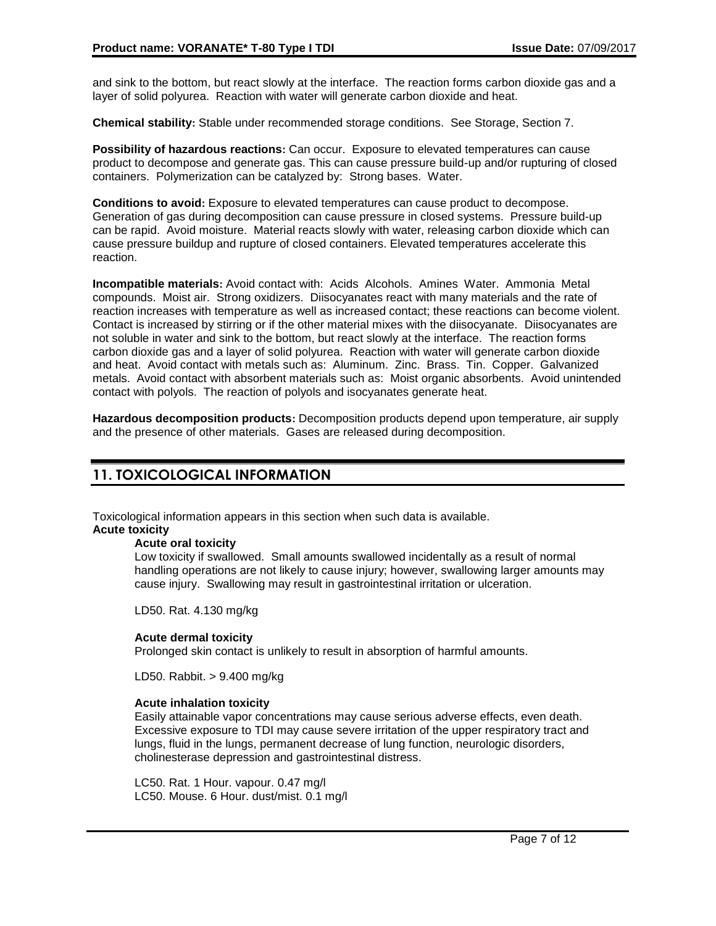and sink to the bottom, but react slowly at the interface. The reaction forms carbon dioxide gas and a layer of solid polyurea. Reaction with water will generate carbon dioxide and heat.

**Chemical stability:** Stable under recommended storage conditions. See Storage, Section 7.

**Possibility of hazardous reactions:** Can occur. Exposure to elevated temperatures can cause product to decompose and generate gas. This can cause pressure build-up and/or rupturing of closed containers. Polymerization can be catalyzed by: Strong bases. Water.

**Conditions to avoid:** Exposure to elevated temperatures can cause product to decompose. Generation of gas during decomposition can cause pressure in closed systems. Pressure build-up can be rapid. Avoid moisture. Material reacts slowly with water, releasing carbon dioxide which can cause pressure buildup and rupture of closed containers. Elevated temperatures accelerate this reaction.

**Incompatible materials:** Avoid contact with: Acids Alcohols. Amines Water. Ammonia Metal compounds. Moist air. Strong oxidizers. Diisocyanates react with many materials and the rate of reaction increases with temperature as well as increased contact; these reactions can become violent. Contact is increased by stirring or if the other material mixes with the diisocyanate. Diisocyanates are not soluble in water and sink to the bottom, but react slowly at the interface. The reaction forms carbon dioxide gas and a layer of solid polyurea. Reaction with water will generate carbon dioxide and heat. Avoid contact with metals such as: Aluminum. Zinc. Brass. Tin. Copper. Galvanized metals. Avoid contact with absorbent materials such as: Moist organic absorbents. Avoid unintended contact with polyols. The reaction of polyols and isocyanates generate heat.

**Hazardous decomposition products:** Decomposition products depend upon temperature, air supply and the presence of other materials. Gases are released during decomposition.

# **11. TOXICOLOGICAL INFORMATION**

Toxicological information appears in this section when such data is available.

## **Acute toxicity**

## **Acute oral toxicity**

Low toxicity if swallowed. Small amounts swallowed incidentally as a result of normal handling operations are not likely to cause injury; however, swallowing larger amounts may cause injury. Swallowing may result in gastrointestinal irritation or ulceration.

LD50. Rat. 4.130 mg/kg

## **Acute dermal toxicity**

Prolonged skin contact is unlikely to result in absorption of harmful amounts.

LD50. Rabbit. > 9.400 mg/kg

## **Acute inhalation toxicity**

Easily attainable vapor concentrations may cause serious adverse effects, even death. Excessive exposure to TDI may cause severe irritation of the upper respiratory tract and lungs, fluid in the lungs, permanent decrease of lung function, neurologic disorders, cholinesterase depression and gastrointestinal distress.

LC50. Rat. 1 Hour. vapour. 0.47 mg/l LC50. Mouse. 6 Hour. dust/mist. 0.1 mg/l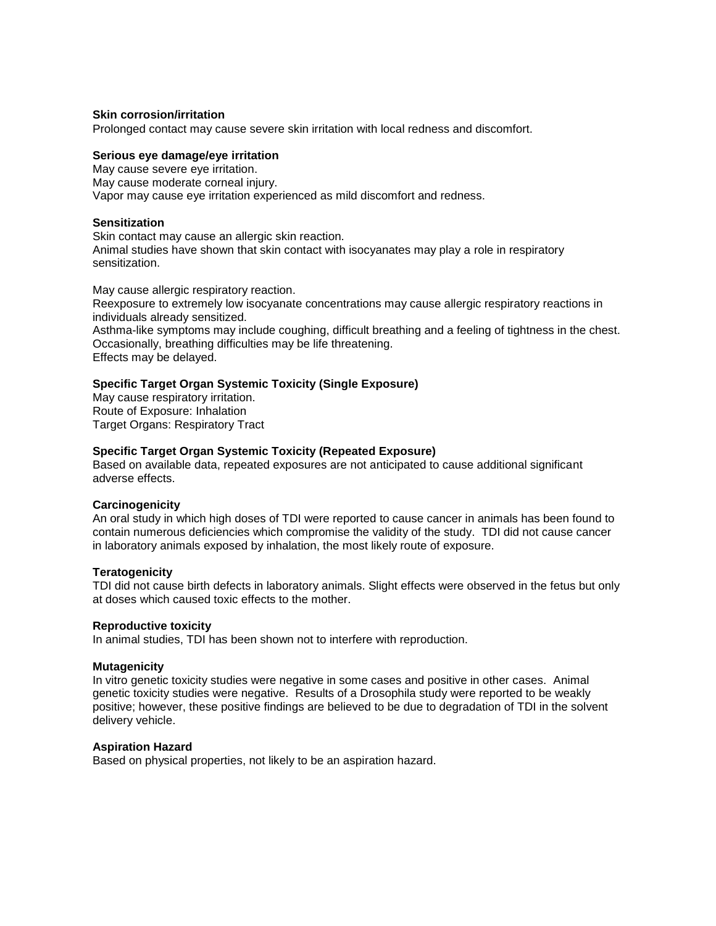#### **Skin corrosion/irritation**

Prolonged contact may cause severe skin irritation with local redness and discomfort.

## **Serious eye damage/eye irritation**

May cause severe eye irritation. May cause moderate corneal injury. Vapor may cause eye irritation experienced as mild discomfort and redness.

#### **Sensitization**

Skin contact may cause an allergic skin reaction. Animal studies have shown that skin contact with isocyanates may play a role in respiratory sensitization.

May cause allergic respiratory reaction.

Reexposure to extremely low isocyanate concentrations may cause allergic respiratory reactions in individuals already sensitized.

Asthma-like symptoms may include coughing, difficult breathing and a feeling of tightness in the chest. Occasionally, breathing difficulties may be life threatening. Effects may be delayed.

#### **Specific Target Organ Systemic Toxicity (Single Exposure)**

May cause respiratory irritation. Route of Exposure: Inhalation Target Organs: Respiratory Tract

#### **Specific Target Organ Systemic Toxicity (Repeated Exposure)**

Based on available data, repeated exposures are not anticipated to cause additional significant adverse effects.

#### **Carcinogenicity**

An oral study in which high doses of TDI were reported to cause cancer in animals has been found to contain numerous deficiencies which compromise the validity of the study. TDI did not cause cancer in laboratory animals exposed by inhalation, the most likely route of exposure.

#### **Teratogenicity**

TDI did not cause birth defects in laboratory animals. Slight effects were observed in the fetus but only at doses which caused toxic effects to the mother.

#### **Reproductive toxicity**

In animal studies, TDI has been shown not to interfere with reproduction.

#### **Mutagenicity**

In vitro genetic toxicity studies were negative in some cases and positive in other cases. Animal genetic toxicity studies were negative. Results of a Drosophila study were reported to be weakly positive; however, these positive findings are believed to be due to degradation of TDI in the solvent delivery vehicle.

#### **Aspiration Hazard**

Based on physical properties, not likely to be an aspiration hazard.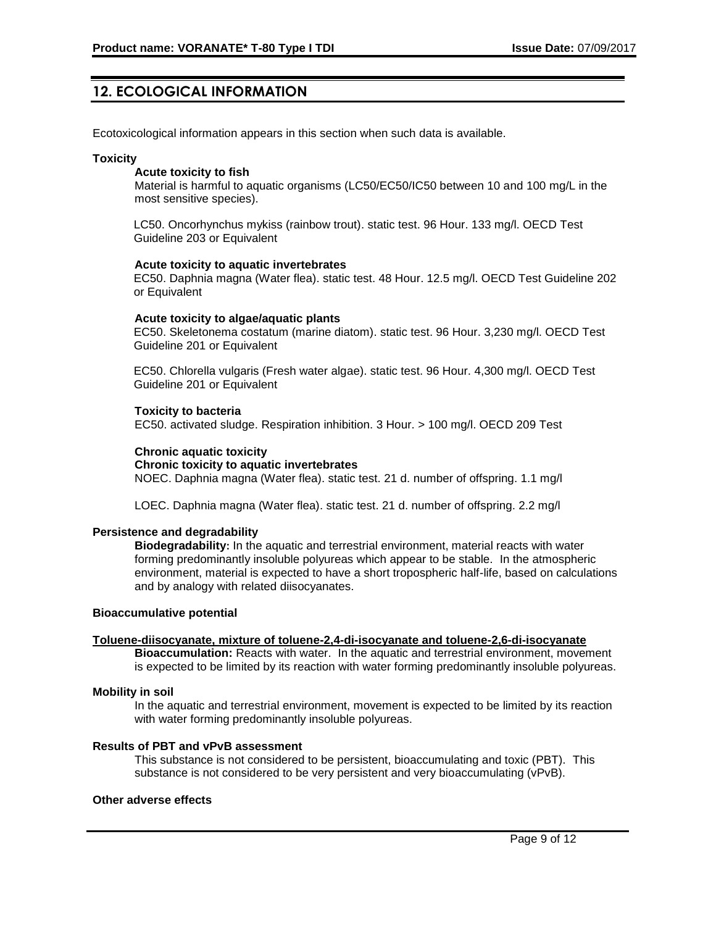## **12. ECOLOGICAL INFORMATION**

Ecotoxicological information appears in this section when such data is available.

#### **Toxicity**

#### **Acute toxicity to fish**

Material is harmful to aquatic organisms (LC50/EC50/IC50 between 10 and 100 mg/L in the most sensitive species).

LC50. Oncorhynchus mykiss (rainbow trout). static test. 96 Hour. 133 mg/l. OECD Test Guideline 203 or Equivalent

#### **Acute toxicity to aquatic invertebrates**

EC50. Daphnia magna (Water flea). static test. 48 Hour. 12.5 mg/l. OECD Test Guideline 202 or Equivalent

#### **Acute toxicity to algae/aquatic plants**

EC50. Skeletonema costatum (marine diatom). static test. 96 Hour. 3,230 mg/l. OECD Test Guideline 201 or Equivalent

EC50. Chlorella vulgaris (Fresh water algae). static test. 96 Hour. 4,300 mg/l. OECD Test Guideline 201 or Equivalent

#### **Toxicity to bacteria**

EC50. activated sludge. Respiration inhibition. 3 Hour. > 100 mg/l. OECD 209 Test

#### **Chronic aquatic toxicity**

## **Chronic toxicity to aquatic invertebrates**

NOEC. Daphnia magna (Water flea). static test. 21 d. number of offspring. 1.1 mg/l

LOEC. Daphnia magna (Water flea). static test. 21 d. number of offspring. 2.2 mg/l

## **Persistence and degradability**

**Biodegradability:** In the aquatic and terrestrial environment, material reacts with water forming predominantly insoluble polyureas which appear to be stable. In the atmospheric environment, material is expected to have a short tropospheric half-life, based on calculations and by analogy with related diisocyanates.

#### **Bioaccumulative potential**

## **Toluene-diisocyanate, mixture of toluene-2,4-di-isocyanate and toluene-2,6-di-isocyanate**

**Bioaccumulation:** Reacts with water. In the aquatic and terrestrial environment, movement is expected to be limited by its reaction with water forming predominantly insoluble polyureas.

#### **Mobility in soil**

In the aquatic and terrestrial environment, movement is expected to be limited by its reaction with water forming predominantly insoluble polyureas.

## **Results of PBT and vPvB assessment**

This substance is not considered to be persistent, bioaccumulating and toxic (PBT). This substance is not considered to be very persistent and very bioaccumulating (vPvB).

#### **Other adverse effects**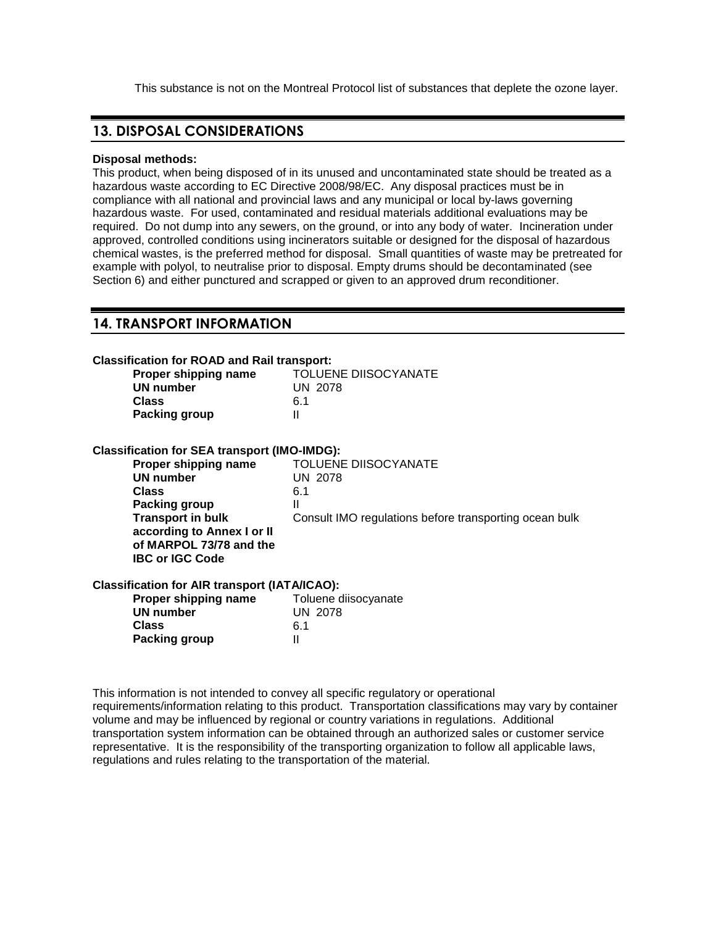This substance is not on the Montreal Protocol list of substances that deplete the ozone layer.

## **13. DISPOSAL CONSIDERATIONS**

#### **Disposal methods:**

This product, when being disposed of in its unused and uncontaminated state should be treated as a hazardous waste according to EC Directive 2008/98/EC. Any disposal practices must be in compliance with all national and provincial laws and any municipal or local by-laws governing hazardous waste. For used, contaminated and residual materials additional evaluations may be required. Do not dump into any sewers, on the ground, or into any body of water. Incineration under approved, controlled conditions using incinerators suitable or designed for the disposal of hazardous chemical wastes, is the preferred method for disposal. Small quantities of waste may be pretreated for example with polyol, to neutralise prior to disposal. Empty drums should be decontaminated (see Section 6) and either punctured and scrapped or given to an approved drum reconditioner.

## **14. TRANSPORT INFORMATION**

| <b>Classification for ROAD and Rail transport:</b>   |                                                        |
|------------------------------------------------------|--------------------------------------------------------|
| Proper shipping name                                 | <b>TOLUENE DIISOCYANATE</b>                            |
| UN number                                            | <b>UN 2078</b>                                         |
| <b>Class</b>                                         | 6.1                                                    |
| Packing group                                        | $\mathbf{I}$                                           |
| <b>Classification for SEA transport (IMO-IMDG):</b>  |                                                        |
| Proper shipping name                                 | <b>TOLUENE DIISOCYANATE</b>                            |
| <b>UN number</b>                                     | <b>UN 2078</b>                                         |
| Class                                                | 6.1                                                    |
| <b>Packing group</b>                                 | Ш                                                      |
| <b>Transport in bulk</b>                             | Consult IMO regulations before transporting ocean bulk |
| according to Annex I or II                           |                                                        |
| of MARPOL 73/78 and the                              |                                                        |
| <b>IBC or IGC Code</b>                               |                                                        |
| <b>Classification for AIR transport (IATA/ICAO):</b> |                                                        |
| Proper shipping name                                 | Toluene diisocyanate                                   |
| <b>UN number</b>                                     | <b>UN 2078</b>                                         |
| Class                                                | 6.1                                                    |
| Packing group                                        | $\mathsf{I}$                                           |
|                                                      |                                                        |

This information is not intended to convey all specific regulatory or operational requirements/information relating to this product. Transportation classifications may vary by container volume and may be influenced by regional or country variations in regulations. Additional transportation system information can be obtained through an authorized sales or customer service representative. It is the responsibility of the transporting organization to follow all applicable laws, regulations and rules relating to the transportation of the material.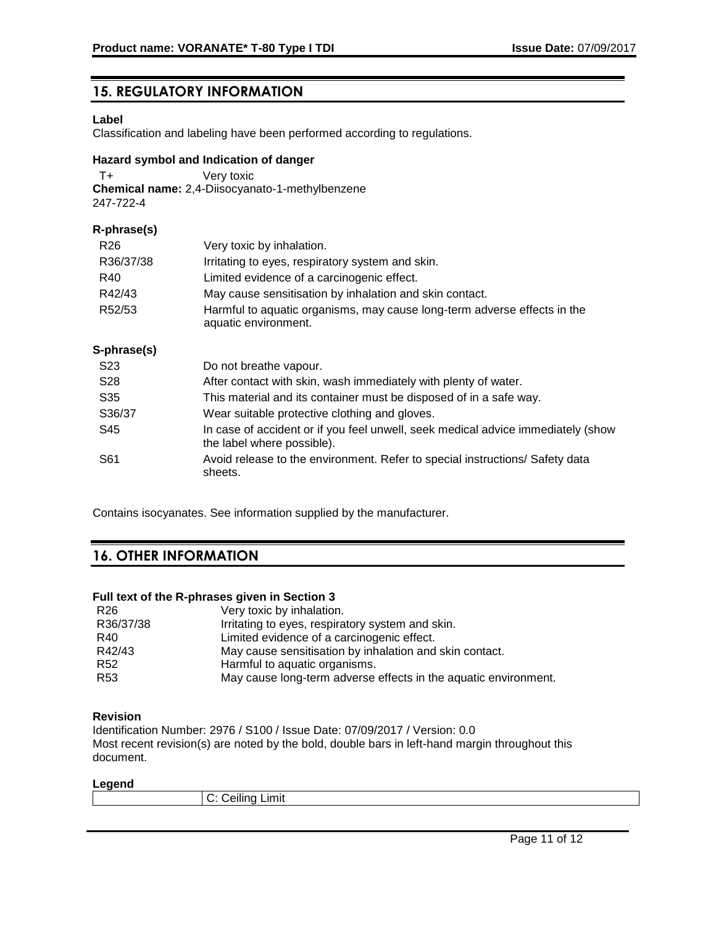# **15. REGULATORY INFORMATION**

## **Label**

Classification and labeling have been performed according to regulations.

## **Hazard symbol and Indication of danger**

T+ Very toxic **Chemical name:** 2,4-Diisocyanato-1-methylbenzene 247-722-4

## **R-phrase(s)**

| R26<br>R36/37/38 | Very toxic by inhalation.                                                                                      |
|------------------|----------------------------------------------------------------------------------------------------------------|
| R40              | Irritating to eyes, respiratory system and skin.<br>Limited evidence of a carcinogenic effect.                 |
| R42/43           | May cause sensitisation by inhalation and skin contact.                                                        |
| R52/53           | Harmful to aquatic organisms, may cause long-term adverse effects in the<br>aquatic environment.               |
| S-phrase(s)      |                                                                                                                |
| S <sub>23</sub>  | Do not breathe vapour.                                                                                         |
| S <sub>28</sub>  | After contact with skin, wash immediately with plenty of water.                                                |
| S <sub>35</sub>  | This material and its container must be disposed of in a safe way.                                             |
| S36/37           | Wear suitable protective clothing and gloves.                                                                  |
| S45              | In case of accident or if you feel unwell, seek medical advice immediately (show<br>the label where possible). |
| S61              | Avoid release to the environment. Refer to special instructions/ Safety data<br>sheets.                        |

Contains isocyanates. See information supplied by the manufacturer.

# **16. OTHER INFORMATION**

## **Full text of the R-phrases given in Section 3**

| R <sub>26</sub> | Very toxic by inhalation.                                       |
|-----------------|-----------------------------------------------------------------|
| R36/37/38       | Irritating to eyes, respiratory system and skin.                |
| R40             | Limited evidence of a carcinogenic effect.                      |
| R42/43          | May cause sensitisation by inhalation and skin contact.         |
| R <sub>52</sub> | Harmful to aquatic organisms.                                   |
| R <sub>53</sub> | May cause long-term adverse effects in the aquatic environment. |

## **Revision**

Identification Number: 2976 / S100 / Issue Date: 07/09/2017 / Version: 0.0 Most recent revision(s) are noted by the bold, double bars in left-hand margin throughout this document.

## **Legend**

| Limit<br><b>POILLE</b><br>$\ddotsc$ |
|-------------------------------------|
|                                     |